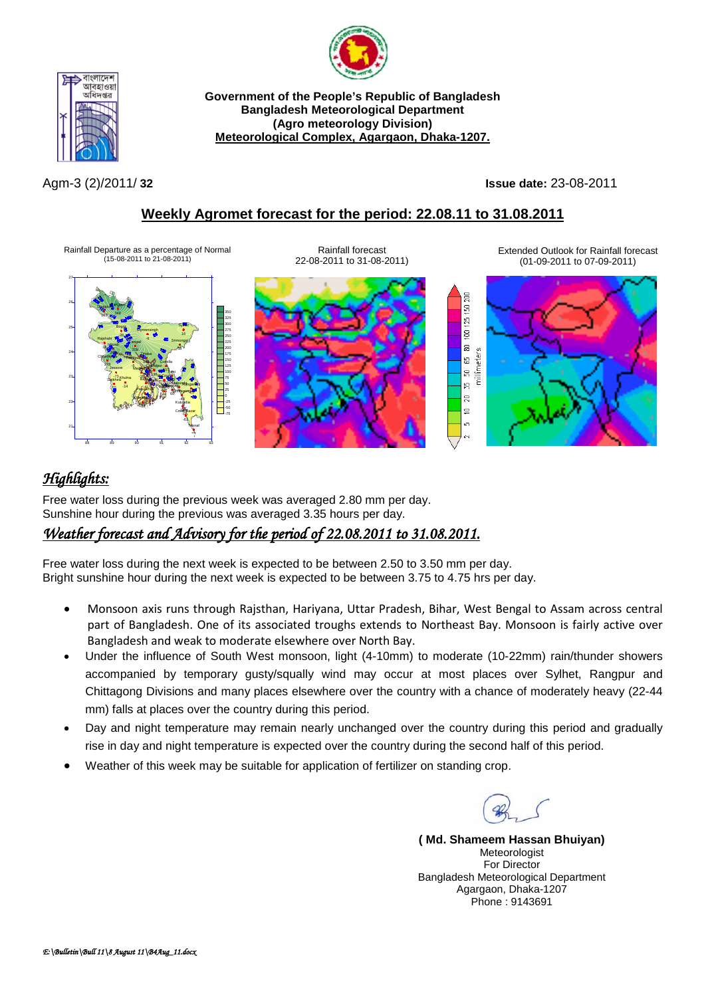



**Government of the People's Republic of Bangladesh Bangladesh Meteorological Department (Agro meteorology Division) Meteorological Complex, Agargaon, Dhaka-1207.**

Agm-3 (2)/2011/ **32 Issue date:** 23-08-2011

## **Weekly Agromet forecast for the period: 22.08.11 to 31.08.2011**

Rainfall Departure as a percentage of Normal (15-08-2011 to 21-08-2011)





Extended Outlook for Rainfall forecast (01-09-2011 to 07-09-2011)



# *Highlights:*

Free water loss during the previous week was averaged 2.80 mm per day. Sunshine hour during the previous was averaged 3.35 hours per day.

### *Weather forecast and Advisory for the period of 22.08.2011 to 31.08.2011.*

Free water loss during the next week is expected to be between 2.50 to 3.50 mm per day. Bright sunshine hour during the next week is expected to be between 3.75 to 4.75 hrs per day.

- Monsoon axis runs through Rajsthan, Hariyana, Uttar Pradesh, Bihar, West Bengal to Assam across central part of Bangladesh. One of its associated troughs extends to Northeast Bay. Monsoon is fairly active over Bangladesh and weak to moderate elsewhere over North Bay.
- Under the influence of South West monsoon, light (4-10mm) to moderate (10-22mm) rain/thunder showers accompanied by temporary gusty/squally wind may occur at most places over Sylhet, Rangpur and Chittagong Divisions and many places elsewhere over the country with a chance of moderately heavy (22-44 mm) falls at places over the country during this period.
- Day and night temperature may remain nearly unchanged over the country during this period and gradually rise in day and night temperature is expected over the country during the second half of this period.
- Weather of this week may be suitable for application of fertilizer on standing crop.

**( Md. Shameem Hassan Bhuiyan)** Meteorologist For Director Bangladesh Meteorological Department Agargaon, Dhaka-1207 Phone : 9143691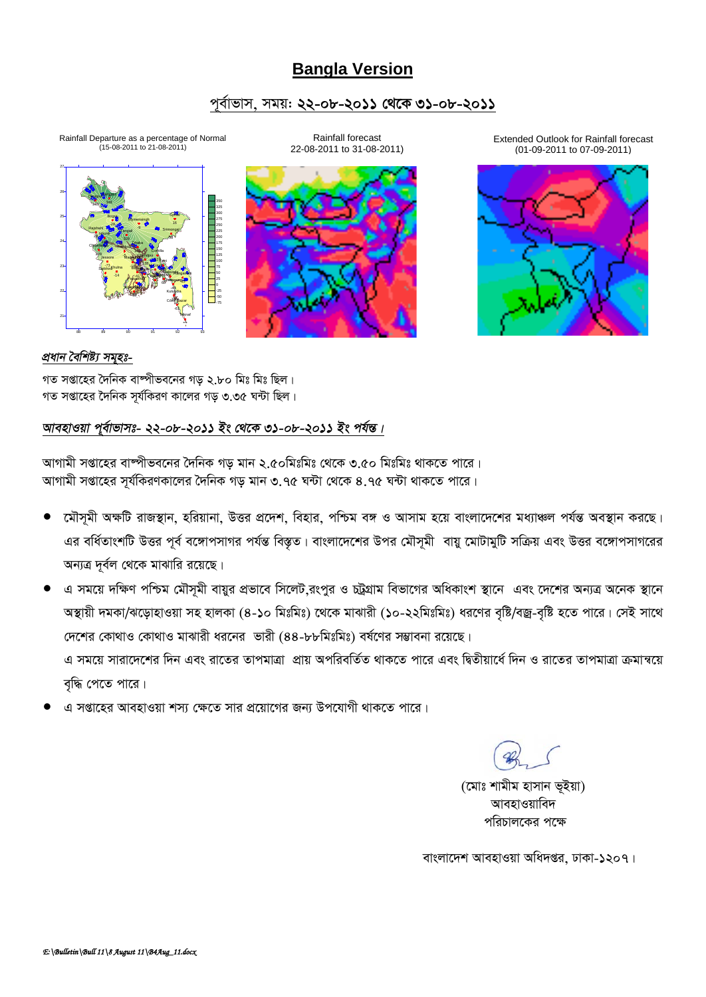# **Bangla Version**

### পর্বাভাস, সময়: ২২-০৮-২০১১ থেকে ৩১-০৮-২০১১

Rainfall forecast

Rainfall Departure as a percentage of Normal<br>(15-08-2011 to 21-08-2011)





Extended Outlook for Rainfall forecast (01-09-2011 to 07-09-2011)



### প্ৰধান বৈশিষ্ট্য সমূহঃ-

গত সপ্তাহের দৈনিক বাম্পীভবনের গড় ২.৮০ মিঃ মিঃ ছিল। গত সপ্তাহের দৈনিক সর্যকিরণ কালের গড় ৩.৩৫ ঘন্টা ছিল।

### আবহাওয়া পুর্বাভাসঃ- ২২-০৮-২০১১ ইং থেকে ৩১-০৮-২০১১ ইং পর্যন্ত।

আগামী সপ্তাহের বাস্পীভবনের দৈনিক গড় মান ২.৫০মিঃমিঃ থেকে ৩.৫০ মিঃমিঃ থাকতে পারে। আগামী সপ্তাহের সূর্যকিরণকালের দৈনিক গড় মান ৩.৭৫ ঘন্টা থেকে ৪.৭৫ ঘন্টা থাকতে পারে।

- মৌসমী অক্ষটি রাজস্থান, হরিয়ানা, উত্তর প্রদেশ, বিহার, পশ্চিম বঙ্গ ও আসাম হয়ে বাংলাদেশের মধ্যাঞ্চল পর্যন্ত অবস্থান করছে। এর বর্ধিতাংশটি উত্তর পূর্ব বঙ্গোপসাগর পর্যন্ত বিস্তৃত। বাংলাদেশের উপর মৌসূমী বায়ু মোটামুটি সক্রিয় এবং উত্তর বঙ্গোপসাগরের অন্যত্র দূর্বল থেকে মাঝারি রয়েছে।
- এ সময়ে দক্ষিণ পশ্চিম মৌসূমী বায়ুর প্রভাবে সিলেট রংপুর ও চট্রগ্রাম বিভাগের অধিকাংশ স্থানে এবং দেশের অন্যত্র অনেক স্থানে অস্থায়ী দমকা/ঝড়োহাওয়া সহ হালকা (৪-১০ মিঃমিঃ) থেকে মাঝারী (১০-২২মিঃমিঃ) ধরণের বৃষ্টি/বজ্র-বৃষ্টি হতে পারে। সেই সাথে দেশের কোথাও কোথাও মাঝারী ধরনের ভারী (৪৪-৮৮মিঃমিঃ) বর্ষণের সম্ভাবনা রয়েছে। এ সময়ে সারাদেশের দিন এবং রাতের তাপমাত্রা প্রায় অপরিবর্তিত থাকতে পারে এবং দ্বিতীয়ার্ধে দিন ও রাতের তাপমাত্রা ক্রমান্বয়ে বৃদ্ধি পেতে পারে।
- এ সপ্তাহের আবহাওয়া শস্য ক্ষেতে সার প্রয়োগের জন্য উপযোগী থাকতে পারে।

(মোঃ শামীম হাসান ভূইয়া) আবহাওয়াবিদ পরিচালকের পক্ষে

বাংলাদেশ আবহাওয়া অধিদপ্তর, ঢাকা-১২০৭।